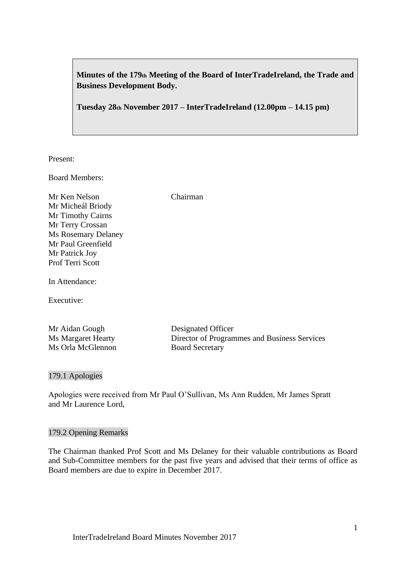**Minutes of the 179th Meeting of the Board of InterTradeIreland, the Trade and Business Development Body.**

**Tuesday 28th November 2017 – InterTradeIreland (12.00pm – 14.15 pm)**

Present:

Board Members:

Mr Ken Nelson Chairman Mr Micheál Briody Mr Timothy Cairns Mr Terry Crossan Ms Rosemary Delaney Mr Paul Greenfield Mr Patrick Joy Prof Terri Scott

In Attendance:

Executive:

| Mr Aidan Gough            | Designated Officer                           |
|---------------------------|----------------------------------------------|
| <b>Ms Margaret Hearty</b> | Director of Programmes and Business Services |
| Ms Orla McGlennon         | <b>Board Secretary</b>                       |

179.1 Apologies

Apologies were received from Mr Paul O'Sullivan, Ms Ann Rudden, Mr James Spratt and Mr Laurence Lord,

#### 179.2 Opening Remarks

The Chairman thanked Prof Scott and Ms Delaney for their valuable contributions as Board and Sub-Committee members for the past five years and advised that their terms of office as Board members are due to expire in December 2017.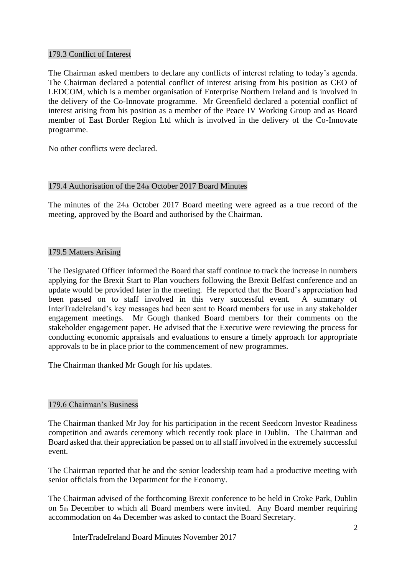### 179.3 Conflict of Interest

The Chairman asked members to declare any conflicts of interest relating to today's agenda. The Chairman declared a potential conflict of interest arising from his position as CEO of LEDCOM, which is a member organisation of Enterprise Northern Ireland and is involved in the delivery of the Co-Innovate programme. Mr Greenfield declared a potential conflict of interest arising from his position as a member of the Peace IV Working Group and as Board member of East Border Region Ltd which is involved in the delivery of the Co-Innovate programme.

No other conflicts were declared.

# 179.4 Authorisation of the 24th October 2017 Board Minutes

The minutes of the 24th October 2017 Board meeting were agreed as a true record of the meeting, approved by the Board and authorised by the Chairman.

# 179.5 Matters Arising

The Designated Officer informed the Board that staff continue to track the increase in numbers applying for the Brexit Start to Plan vouchers following the Brexit Belfast conference and an update would be provided later in the meeting. He reported that the Board's appreciation had been passed on to staff involved in this very successful event. A summary of InterTradeIreland's key messages had been sent to Board members for use in any stakeholder engagement meetings. Mr Gough thanked Board members for their comments on the stakeholder engagement paper. He advised that the Executive were reviewing the process for conducting economic appraisals and evaluations to ensure a timely approach for appropriate approvals to be in place prior to the commencement of new programmes.

The Chairman thanked Mr Gough for his updates.

# 179.6 Chairman's Business

The Chairman thanked Mr Joy for his participation in the recent Seedcorn Investor Readiness competition and awards ceremony which recently took place in Dublin. The Chairman and Board asked that their appreciation be passed on to all staff involved in the extremely successful event.

The Chairman reported that he and the senior leadership team had a productive meeting with senior officials from the Department for the Economy.

The Chairman advised of the forthcoming Brexit conference to be held in Croke Park, Dublin on 5th December to which all Board members were invited. Any Board member requiring accommodation on 4th December was asked to contact the Board Secretary.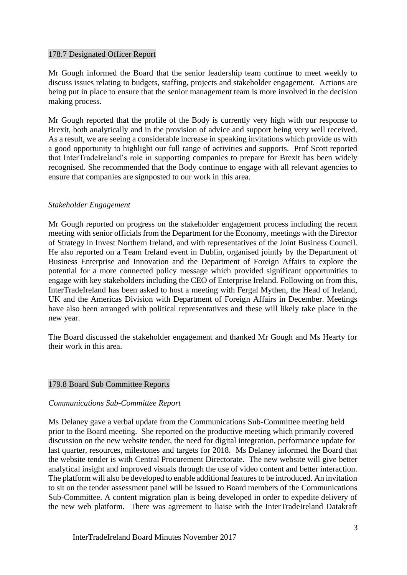#### 178.7 Designated Officer Report

Mr Gough informed the Board that the senior leadership team continue to meet weekly to discuss issues relating to budgets, staffing, projects and stakeholder engagement. Actions are being put in place to ensure that the senior management team is more involved in the decision making process.

Mr Gough reported that the profile of the Body is currently very high with our response to Brexit, both analytically and in the provision of advice and support being very well received. As a result, we are seeing a considerable increase in speaking invitations which provide us with a good opportunity to highlight our full range of activities and supports. Prof Scott reported that InterTradeIreland's role in supporting companies to prepare for Brexit has been widely recognised. She recommended that the Body continue to engage with all relevant agencies to ensure that companies are signposted to our work in this area.

### *Stakeholder Engagement*

Mr Gough reported on progress on the stakeholder engagement process including the recent meeting with senior officials from the Department for the Economy, meetings with the Director of Strategy in Invest Northern Ireland, and with representatives of the Joint Business Council. He also reported on a Team Ireland event in Dublin, organised jointly by the Department of Business Enterprise and Innovation and the Department of Foreign Affairs to explore the potential for a more connected policy message which provided significant opportunities to engage with key stakeholders including the CEO of Enterprise Ireland. Following on from this, InterTradeIreland has been asked to host a meeting with Fergal Mythen, the Head of Ireland, UK and the Americas Division with Department of Foreign Affairs in December. Meetings have also been arranged with political representatives and these will likely take place in the new year.

The Board discussed the stakeholder engagement and thanked Mr Gough and Ms Hearty for their work in this area.

#### 179.8 Board Sub Committee Reports

#### *Communications Sub-Committee Report*

Ms Delaney gave a verbal update from the Communications Sub-Committee meeting held prior to the Board meeting. She reported on the productive meeting which primarily covered discussion on the new website tender, the need for digital integration, performance update for last quarter, resources, milestones and targets for 2018. Ms Delaney informed the Board that the website tender is with Central Procurement Directorate. The new website will give better analytical insight and improved visuals through the use of video content and better interaction. The platform will also be developed to enable additional features to be introduced. An invitation to sit on the tender assessment panel will be issued to Board members of the Communications Sub-Committee. A content migration plan is being developed in order to expedite delivery of the new web platform. There was agreement to liaise with the InterTradeIreland Datakraft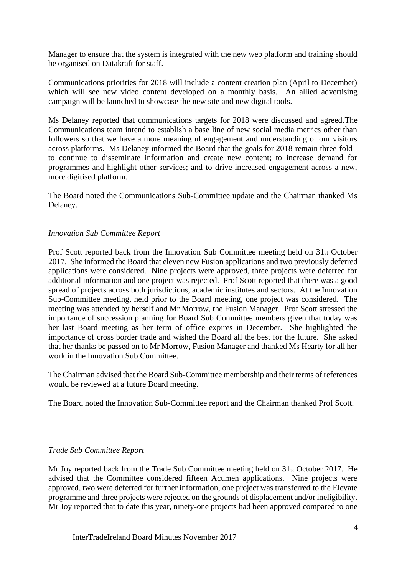Manager to ensure that the system is integrated with the new web platform and training should be organised on Datakraft for staff.

Communications priorities for 2018 will include a content creation plan (April to December) which will see new video content developed on a monthly basis. An allied advertising campaign will be launched to showcase the new site and new digital tools.

Ms Delaney reported that communications targets for 2018 were discussed and agreed.The Communications team intend to establish a base line of new social media metrics other than followers so that we have a more meaningful engagement and understanding of our visitors across platforms. Ms Delaney informed the Board that the goals for 2018 remain three-fold to continue to disseminate information and create new content; to increase demand for programmes and highlight other services; and to drive increased engagement across a new, more digitised platform.

The Board noted the Communications Sub-Committee update and the Chairman thanked Ms Delaney.

#### *Innovation Sub Committee Report*

Prof Scott reported back from the Innovation Sub Committee meeting held on 31st October 2017. She informed the Board that eleven new Fusion applications and two previously deferred applications were considered. Nine projects were approved, three projects were deferred for additional information and one project was rejected. Prof Scott reported that there was a good spread of projects across both jurisdictions, academic institutes and sectors. At the Innovation Sub-Committee meeting, held prior to the Board meeting, one project was considered. The meeting was attended by herself and Mr Morrow, the Fusion Manager. Prof Scott stressed the importance of succession planning for Board Sub Committee members given that today was her last Board meeting as her term of office expires in December. She highlighted the importance of cross border trade and wished the Board all the best for the future. She asked that her thanks be passed on to Mr Morrow, Fusion Manager and thanked Ms Hearty for all her work in the Innovation Sub Committee.

The Chairman advised that the Board Sub-Committee membership and their terms of references would be reviewed at a future Board meeting.

The Board noted the Innovation Sub-Committee report and the Chairman thanked Prof Scott.

#### *Trade Sub Committee Report*

Mr Joy reported back from the Trade Sub Committee meeting held on 31st October 2017. He advised that the Committee considered fifteen Acumen applications. Nine projects were approved, two were deferred for further information, one project was transferred to the Elevate programme and three projects were rejected on the grounds of displacement and/or ineligibility. Mr Joy reported that to date this year, ninety-one projects had been approved compared to one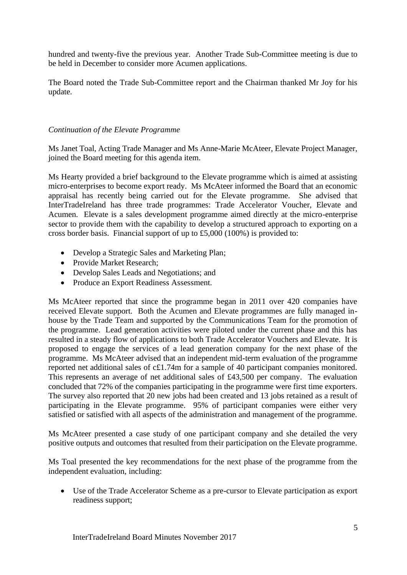hundred and twenty-five the previous year. Another Trade Sub-Committee meeting is due to be held in December to consider more Acumen applications.

The Board noted the Trade Sub-Committee report and the Chairman thanked Mr Joy for his update.

### *Continuation of the Elevate Programme*

Ms Janet Toal, Acting Trade Manager and Ms Anne-Marie McAteer, Elevate Project Manager, joined the Board meeting for this agenda item.

Ms Hearty provided a brief background to the Elevate programme which is aimed at assisting micro-enterprises to become export ready. Ms McAteer informed the Board that an economic appraisal has recently being carried out for the Elevate programme. She advised that InterTradeIreland has three trade programmes: Trade Accelerator Voucher, Elevate and Acumen. Elevate is a sales development programme aimed directly at the micro-enterprise sector to provide them with the capability to develop a structured approach to exporting on a cross border basis. Financial support of up to £5,000 (100%) is provided to:

- Develop a Strategic Sales and Marketing Plan;
- Provide Market Research:
- Develop Sales Leads and Negotiations; and
- Produce an Export Readiness Assessment.

Ms McAteer reported that since the programme began in 2011 over 420 companies have received Elevate support. Both the Acumen and Elevate programmes are fully managed inhouse by the Trade Team and supported by the Communications Team for the promotion of the programme. Lead generation activities were piloted under the current phase and this has resulted in a steady flow of applications to both Trade Accelerator Vouchers and Elevate. It is proposed to engage the services of a lead generation company for the next phase of the programme. Ms McAteer advised that an independent mid-term evaluation of the programme reported net additional sales of c£1.74m for a sample of 40 participant companies monitored. This represents an average of net additional sales of £43,500 per company. The evaluation concluded that 72% of the companies participating in the programme were first time exporters. The survey also reported that 20 new jobs had been created and 13 jobs retained as a result of participating in the Elevate programme. 95% of participant companies were either very satisfied or satisfied with all aspects of the administration and management of the programme.

Ms McAteer presented a case study of one participant company and she detailed the very positive outputs and outcomes that resulted from their participation on the Elevate programme.

Ms Toal presented the key recommendations for the next phase of the programme from the independent evaluation, including:

• Use of the Trade Accelerator Scheme as a pre-cursor to Elevate participation as export readiness support;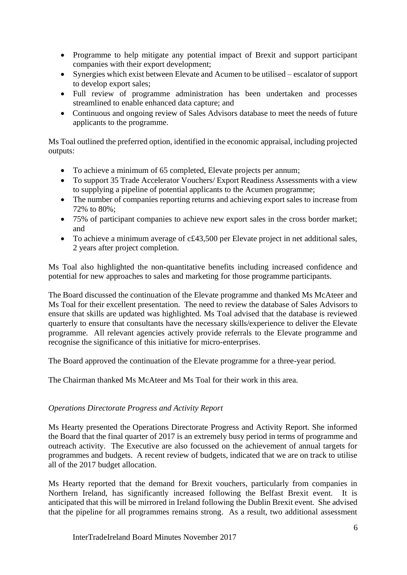- Programme to help mitigate any potential impact of Brexit and support participant companies with their export development;
- Synergies which exist between Elevate and Acumen to be utilised escalator of support to develop export sales;
- Full review of programme administration has been undertaken and processes streamlined to enable enhanced data capture; and
- Continuous and ongoing review of Sales Advisors database to meet the needs of future applicants to the programme.

Ms Toal outlined the preferred option, identified in the economic appraisal, including projected outputs:

- To achieve a minimum of 65 completed, Elevate projects per annum;
- To support 35 Trade Accelerator Vouchers/ Export Readiness Assessments with a view to supplying a pipeline of potential applicants to the Acumen programme;
- The number of companies reporting returns and achieving export sales to increase from 72% to 80%;
- 75% of participant companies to achieve new export sales in the cross border market; and
- To achieve a minimum average of c£43,500 per Elevate project in net additional sales, 2 years after project completion.

Ms Toal also highlighted the non-quantitative benefits including increased confidence and potential for new approaches to sales and marketing for those programme participants.

The Board discussed the continuation of the Elevate programme and thanked Ms McAteer and Ms Toal for their excellent presentation. The need to review the database of Sales Advisors to ensure that skills are updated was highlighted. Ms Toal advised that the database is reviewed quarterly to ensure that consultants have the necessary skills/experience to deliver the Elevate programme. All relevant agencies actively provide referrals to the Elevate programme and recognise the significance of this initiative for micro-enterprises.

The Board approved the continuation of the Elevate programme for a three-year period.

The Chairman thanked Ms McAteer and Ms Toal for their work in this area.

# *Operations Directorate Progress and Activity Report*

Ms Hearty presented the Operations Directorate Progress and Activity Report. She informed the Board that the final quarter of 2017 is an extremely busy period in terms of programme and outreach activity. The Executive are also focussed on the achievement of annual targets for programmes and budgets. A recent review of budgets, indicated that we are on track to utilise all of the 2017 budget allocation.

Ms Hearty reported that the demand for Brexit vouchers, particularly from companies in Northern Ireland, has significantly increased following the Belfast Brexit event. It is anticipated that this will be mirrored in Ireland following the Dublin Brexit event. She advised that the pipeline for all programmes remains strong. As a result, two additional assessment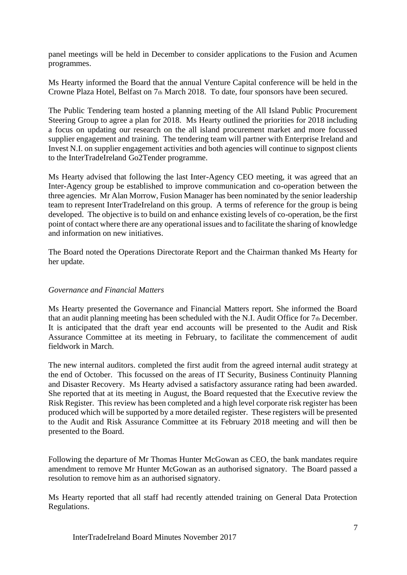panel meetings will be held in December to consider applications to the Fusion and Acumen programmes.

Ms Hearty informed the Board that the annual Venture Capital conference will be held in the Crowne Plaza Hotel, Belfast on 7th March 2018. To date, four sponsors have been secured.

The Public Tendering team hosted a planning meeting of the All Island Public Procurement Steering Group to agree a plan for 2018. Ms Hearty outlined the priorities for 2018 including a focus on updating our research on the all island procurement market and more focussed supplier engagement and training. The tendering team will partner with Enterprise Ireland and Invest N.I. on supplier engagement activities and both agencies will continue to signpost clients to the InterTradeIreland Go2Tender programme.

Ms Hearty advised that following the last Inter-Agency CEO meeting, it was agreed that an Inter-Agency group be established to improve communication and co-operation between the three agencies. Mr Alan Morrow, Fusion Manager has been nominated by the senior leadership team to represent InterTradeIreland on this group. A terms of reference for the group is being developed. The objective is to build on and enhance existing levels of co-operation, be the first point of contact where there are any operational issues and to facilitate the sharing of knowledge and information on new initiatives.

The Board noted the Operations Directorate Report and the Chairman thanked Ms Hearty for her update.

#### *Governance and Financial Matters*

Ms Hearty presented the Governance and Financial Matters report. She informed the Board that an audit planning meeting has been scheduled with the N.I. Audit Office for 7th December. It is anticipated that the draft year end accounts will be presented to the Audit and Risk Assurance Committee at its meeting in February, to facilitate the commencement of audit fieldwork in March.

The new internal auditors. completed the first audit from the agreed internal audit strategy at the end of October. This focussed on the areas of IT Security, Business Continuity Planning and Disaster Recovery. Ms Hearty advised a satisfactory assurance rating had been awarded. She reported that at its meeting in August, the Board requested that the Executive review the Risk Register. This review has been completed and a high level corporate risk register has been produced which will be supported by a more detailed register. These registers will be presented to the Audit and Risk Assurance Committee at its February 2018 meeting and will then be presented to the Board.

Following the departure of Mr Thomas Hunter McGowan as CEO, the bank mandates require amendment to remove Mr Hunter McGowan as an authorised signatory. The Board passed a resolution to remove him as an authorised signatory.

Ms Hearty reported that all staff had recently attended training on General Data Protection Regulations.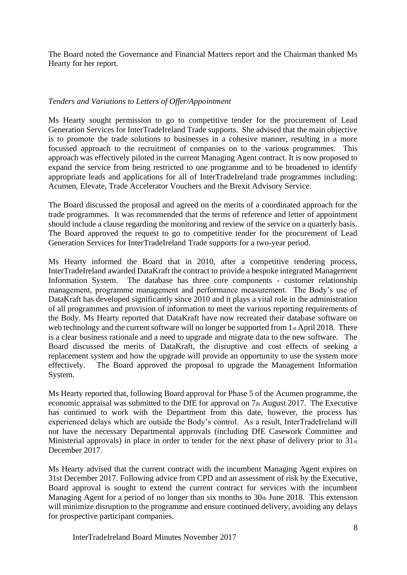The Board noted the Governance and Financial Matters report and the Chairman thanked Ms Hearty for her report.

### *Tenders and Variations to Letters of Offer/Appointment*

Ms Hearty sought permission to go to competitive tender for the procurement of Lead Generation Services for InterTradeIreland Trade supports. She advised that the main objective is to promote the trade solutions to businesses in a cohesive manner, resulting in a more focussed approach to the recruitment of companies on to the various programmes. This approach was effectively piloted in the current Managing Agent contract. It is now proposed to expand the service from being restricted to one programme and to be broadened to identify appropriate leads and applications for all of InterTradeIreland trade programmes including: Acumen, Elevate, Trade Accelerator Vouchers and the Brexit Advisory Service.

The Board discussed the proposal and agreed on the merits of a coordinated approach for the trade programmes. It was recommended that the terms of reference and letter of appointment should include a clause regarding the monitoring and review of the service on a quarterly basis. The Board approved the request to go to competitive tender for the procurement of Lead Generation Services for InterTradeIreland Trade supports for a two-year period.

Ms Hearty informed the Board that in 2010, after a competitive tendering process, InterTradeIreland awarded DataKraft the contract to provide a bespoke integrated Management Information System. The database has three core components - customer relationship management, programme management and performance measurement. The Body's use of DataKraft has developed significantly since 2010 and it plays a vital role in the administration of all programmes and provision of information to meet the various reporting requirements of the Body. Ms Hearty reported that DataKraft have now recreated their database software on web technology and the current software will no longer be supported from 1<sub>st</sub> April 2018. There is a clear business rationale and a need to upgrade and migrate data to the new software. The Board discussed the merits of DataKraft, the disruptive and cost effects of seeking a replacement system and how the upgrade will provide an opportunity to use the system more effectively. The Board approved the proposal to upgrade the Management Information System.

Ms Hearty reported that, following Board approval for Phase 5 of the Acumen programme, the economic appraisal was submitted to the DfE for approval on 7th August 2017. The Executive has continued to work with the Department from this date, however, the process has experienced delays which are outside the Body's control. As a result, InterTradeIreland will not have the necessary Departmental approvals (including DfE Casework Committee and Ministerial approvals) in place in order to tender for the next phase of delivery prior to  $31_{st}$ December 2017.

Ms Hearty advised that the current contract with the incumbent Managing Agent expires on 31st December 2017. Following advice from CPD and an assessment of risk by the Executive, Board approval is sought to extend the current contract for services with the incumbent Managing Agent for a period of no longer than six months to  $30<sub>th</sub>$  June 2018. This extension will minimize disruption to the programme and ensure continued delivery, avoiding any delays for prospective participant companies.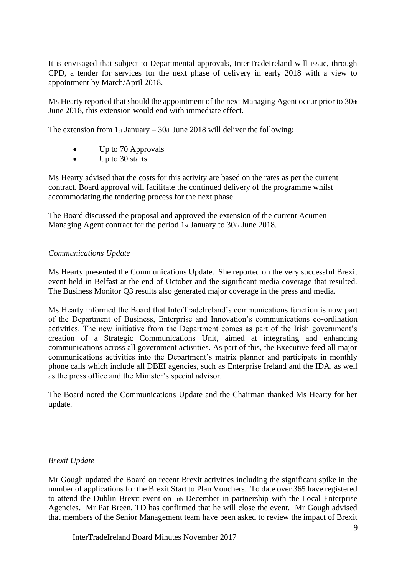It is envisaged that subject to Departmental approvals, InterTradeIreland will issue, through CPD, a tender for services for the next phase of delivery in early 2018 with a view to appointment by March/April 2018.

Ms Hearty reported that should the appointment of the next Managing Agent occur prior to  $30<sub>th</sub>$ June 2018, this extension would end with immediate effect.

The extension from  $1<sub>st</sub>$  January –  $30<sub>th</sub>$  June 2018 will deliver the following:

- Up to 70 Approvals
- Up to 30 starts

Ms Hearty advised that the costs for this activity are based on the rates as per the current contract. Board approval will facilitate the continued delivery of the programme whilst accommodating the tendering process for the next phase.

The Board discussed the proposal and approved the extension of the current Acumen Managing Agent contract for the period 1st January to 30th June 2018.

# *Communications Update*

Ms Hearty presented the Communications Update. She reported on the very successful Brexit event held in Belfast at the end of October and the significant media coverage that resulted. The Business Monitor Q3 results also generated major coverage in the press and media.

Ms Hearty informed the Board that InterTradeIreland's communications function is now part of the Department of Business, Enterprise and Innovation's communications co-ordination activities. The new initiative from the Department comes as part of the Irish government's creation of a Strategic Communications Unit, aimed at integrating and enhancing communications across all government activities. As part of this, the Executive feed all major communications activities into the Department's matrix planner and participate in monthly phone calls which include all DBEI agencies, such as Enterprise Ireland and the IDA, as well as the press office and the Minister's special advisor.

The Board noted the Communications Update and the Chairman thanked Ms Hearty for her update.

#### *Brexit Update*

Mr Gough updated the Board on recent Brexit activities including the significant spike in the number of applications for the Brexit Start to Plan Vouchers. To date over 365 have registered to attend the Dublin Brexit event on 5th December in partnership with the Local Enterprise Agencies. Mr Pat Breen, TD has confirmed that he will close the event. Mr Gough advised that members of the Senior Management team have been asked to review the impact of Brexit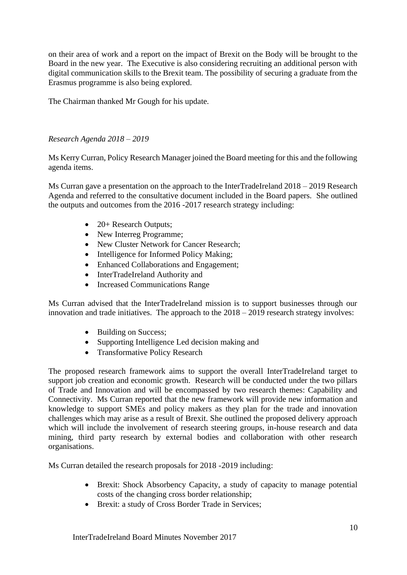on their area of work and a report on the impact of Brexit on the Body will be brought to the Board in the new year. The Executive is also considering recruiting an additional person with digital communication skills to the Brexit team. The possibility of securing a graduate from the Erasmus programme is also being explored.

The Chairman thanked Mr Gough for his update.

# *Research Agenda 2018 – 2019*

Ms Kerry Curran, Policy Research Manager joined the Board meeting for this and the following agenda items.

Ms Curran gave a presentation on the approach to the InterTradeIreland 2018 – 2019 Research Agenda and referred to the consultative document included in the Board papers. She outlined the outputs and outcomes from the 2016 -2017 research strategy including:

- 20+ Research Outputs;
- New Interreg Programme;
- New Cluster Network for Cancer Research;
- Intelligence for Informed Policy Making:
- Enhanced Collaborations and Engagement;
- InterTradeIreland Authority and
- Increased Communications Range

Ms Curran advised that the InterTradeIreland mission is to support businesses through our innovation and trade initiatives. The approach to the 2018 – 2019 research strategy involves:

- Building on Success;
- Supporting Intelligence Led decision making and
- Transformative Policy Research

The proposed research framework aims to support the overall InterTradeIreland target to support job creation and economic growth. Research will be conducted under the two pillars of Trade and Innovation and will be encompassed by two research themes: Capability and Connectivity. Ms Curran reported that the new framework will provide new information and knowledge to support SMEs and policy makers as they plan for the trade and innovation challenges which may arise as a result of Brexit. She outlined the proposed delivery approach which will include the involvement of research steering groups, in-house research and data mining, third party research by external bodies and collaboration with other research organisations.

Ms Curran detailed the research proposals for 2018 -2019 including:

- Brexit: Shock Absorbency Capacity, a study of capacity to manage potential costs of the changing cross border relationship;
- Brexit: a study of Cross Border Trade in Services: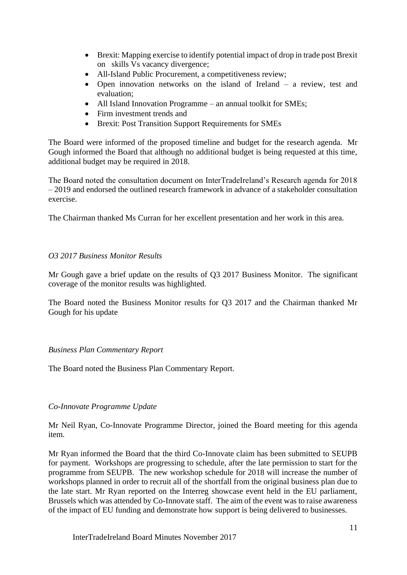- Brexit: Mapping exercise to identify potential impact of drop in trade post Brexit on skills Vs vacancy divergence;
- All-Island Public Procurement, a competitiveness review;
- Open innovation networks on the island of Ireland a review, test and evaluation;
- All Island Innovation Programme an annual toolkit for SMEs;
- Firm investment trends and
- Brexit: Post Transition Support Requirements for SMEs

The Board were informed of the proposed timeline and budget for the research agenda. Mr Gough informed the Board that although no additional budget is being requested at this time, additional budget may be required in 2018.

The Board noted the consultation document on InterTradeIreland's Research agenda for 2018 – 2019 and endorsed the outlined research framework in advance of a stakeholder consultation exercise.

The Chairman thanked Ms Curran for her excellent presentation and her work in this area.

# *O3 2017 Business Monitor Results*

Mr Gough gave a brief update on the results of Q3 2017 Business Monitor. The significant coverage of the monitor results was highlighted.

The Board noted the Business Monitor results for Q3 2017 and the Chairman thanked Mr Gough for his update

# *Business Plan Commentary Report*

The Board noted the Business Plan Commentary Report.

# *Co-Innovate Programme Update*

Mr Neil Ryan, Co-Innovate Programme Director, joined the Board meeting for this agenda item.

Mr Ryan informed the Board that the third Co-Innovate claim has been submitted to SEUPB for payment. Workshops are progressing to schedule, after the late permission to start for the programme from SEUPB. The new workshop schedule for 2018 will increase the number of workshops planned in order to recruit all of the shortfall from the original business plan due to the late start. Mr Ryan reported on the Interreg showcase event held in the EU parliament, Brussels which was attended by Co-Innovate staff. The aim of the event was to raise awareness of the impact of EU funding and demonstrate how support is being delivered to businesses.